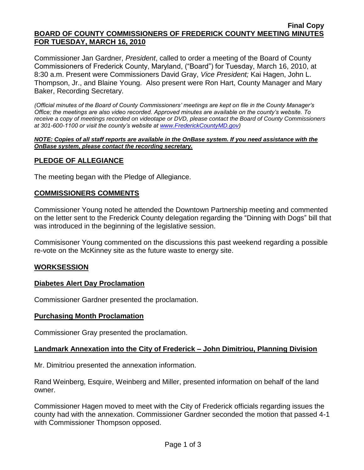#### **Final Copy BOARD OF COUNTY COMMISSIONERS OF FREDERICK COUNTY MEETING MINUTES FOR TUESDAY, MARCH 16, 2010**

Commissioner Jan Gardner, *President*, called to order a meeting of the Board of County Commissioners of Frederick County, Maryland, ("Board") for Tuesday, March 16, 2010, at 8:30 a.m. Present were Commissioners David Gray, *Vice President;* Kai Hagen, John L. Thompson, Jr., and Blaine Young. Also present were Ron Hart, County Manager and Mary Baker, Recording Secretary.

*(Official minutes of the Board of County Commissioners' meetings are kept on file in the County Manager's Office; the meetings are also video recorded. Approved minutes are available on the county's website. To receive a copy of meetings recorded on videotape or DVD, please contact the Board of County Commissioners at 301-600-1100 or visit the county's website at [www.FrederickCountyMD.gov\)](http://www.frederickcountymd.gov/)*

#### *NOTE: Copies of all staff reports are available in the OnBase system. If you need assistance with the OnBase system, please contact the recording secretary.*

## **PLEDGE OF ALLEGIANCE**

The meeting began with the Pledge of Allegiance.

## **COMMISSIONERS COMMENTS**

Commissioner Young noted he attended the Downtown Partnership meeting and commented on the letter sent to the Frederick County delegation regarding the "Dinning with Dogs" bill that was introduced in the beginning of the legislative session.

Commisisoner Young commented on the discussions this past weekend regarding a possible re-vote on the McKinney site as the future waste to energy site.

## **WORKSESSION**

## **Diabetes Alert Day Proclamation**

Commissioner Gardner presented the proclamation.

#### **Purchasing Month Proclamation**

Commissioner Gray presented the proclamation.

## **Landmark Annexation into the City of Frederick – John Dimitriou, Planning Division**

Mr. Dimitriou presented the annexation information.

Rand Weinberg, Esquire, Weinberg and Miller, presented information on behalf of the land owner.

Commissioner Hagen moved to meet with the City of Frederick officials regarding issues the county had with the annexation. Commissioner Gardner seconded the motion that passed 4-1 with Commissioner Thompson opposed.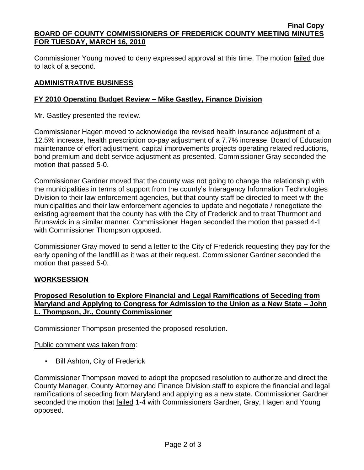#### **Final Copy BOARD OF COUNTY COMMISSIONERS OF FREDERICK COUNTY MEETING MINUTES FOR TUESDAY, MARCH 16, 2010**

Commissioner Young moved to deny expressed approval at this time. The motion failed due to lack of a second.

## **ADMINISTRATIVE BUSINESS**

## **FY 2010 Operating Budget Review – Mike Gastley, Finance Division**

Mr. Gastley presented the review.

Commissioner Hagen moved to acknowledge the revised health insurance adjustment of a 12.5% increase, health prescription co-pay adjustment of a 7.7% increase, Board of Education maintenance of effort adjustment, capital improvements projects operating related reductions, bond premium and debt service adjustment as presented. Commissioner Gray seconded the motion that passed 5-0.

Commissioner Gardner moved that the county was not going to change the relationship with the municipalities in terms of support from the county's Interagency Information Technologies Division to their law enforcement agencies, but that county staff be directed to meet with the municipalities and their law enforcement agencies to update and negotiate / renegotiate the existing agreement that the county has with the City of Frederick and to treat Thurmont and Brunswick in a similar manner. Commissioner Hagen seconded the motion that passed 4-1 with Commissioner Thompson opposed.

Commissioner Gray moved to send a letter to the City of Frederick requesting they pay for the early opening of the landfill as it was at their request. Commissioner Gardner seconded the motion that passed 5-0.

## **WORKSESSION**

## **Proposed Resolution to Explore Financial and Legal Ramifications of Seceding from Maryland and Applying to Congress for Admission to the Union as a New State – John L. Thompson, Jr., County Commissioner**

Commissioner Thompson presented the proposed resolution.

## Public comment was taken from:

**Bill Ashton, City of Frederick** 

Commissioner Thompson moved to adopt the proposed resolution to authorize and direct the County Manager, County Attorney and Finance Division staff to explore the financial and legal ramifications of seceding from Maryland and applying as a new state. Commissioner Gardner seconded the motion that failed 1-4 with Commissioners Gardner, Gray, Hagen and Young opposed.